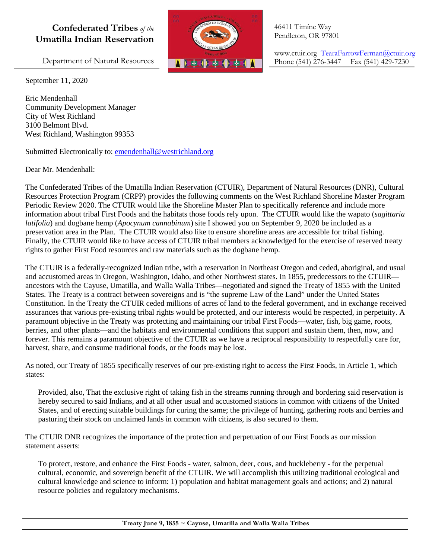## **Confederated Tribes** *of the* **Umatilla Indian Reservation**

Department of Natural Resources

September 11, 2020

Eric Mendenhall Community Development Manager City of West Richland 3100 Belmont Blvd. West Richland, Washington 99353

Submitted Electronically to: [emendenhall@westrichland.org](mailto:emendenhall@westrichland.org)

## Dear Mr. Mendenhall:

The Confederated Tribes of the Umatilla Indian Reservation (CTUIR), Department of Natural Resources (DNR), Cultural Resources Protection Program (CRPP) provides the following comments on the West Richland Shoreline Master Program Periodic Review 2020. The CTUIR would like the Shoreline Master Plan to specifically reference and include more information about tribal First Foods and the habitats those foods rely upon. The CTUIR would like the wapato (*sagittaria latifolia*) and dogbane hemp (*Apocynum cannabinum*) site I showed you on September 9, 2020 be included as a preservation area in the Plan. The CTUIR would also like to ensure shoreline areas are accessible for tribal fishing. Finally, the CTUIR would like to have access of CTUIR tribal members acknowledged for the exercise of reserved treaty rights to gather First Food resources and raw materials such as the dogbane hemp.

The CTUIR is a federally-recognized Indian tribe, with a reservation in Northeast Oregon and ceded, aboriginal, and usual and accustomed areas in Oregon, Washington, Idaho, and other Northwest states. In 1855, predecessors to the CTUIR ancestors with the Cayuse, Umatilla, and Walla Walla Tribes—negotiated and signed the Treaty of 1855 with the United States. The Treaty is a contract between sovereigns and is "the supreme Law of the Land" under the United States Constitution. In the Treaty the CTUIR ceded millions of acres of land to the federal government, and in exchange received assurances that various pre-existing tribal rights would be protected, and our interests would be respected, in perpetuity. A paramount objective in the Treaty was protecting and maintaining our tribal First Foods—water, fish, big game, roots, berries, and other plants—and the habitats and environmental conditions that support and sustain them, then, now, and forever. This remains a paramount objective of the CTUIR as we have a reciprocal responsibility to respectfully care for, harvest, share, and consume traditional foods, or the foods may be lost.

As noted, our Treaty of 1855 specifically reserves of our pre-existing right to access the First Foods, in Article 1, which states:

Provided, also, That the exclusive right of taking fish in the streams running through and bordering said reservation is hereby secured to said Indians, and at all other usual and accustomed stations in common with citizens of the United States, and of erecting suitable buildings for curing the same; the privilege of hunting, gathering roots and berries and pasturing their stock on unclaimed lands in common with citizens, is also secured to them.

The CTUIR DNR recognizes the importance of the protection and perpetuation of our First Foods as our mission statement asserts:

To protect, restore, and enhance the First Foods - water, salmon, deer, cous, and huckleberry - for the perpetual cultural, economic, and sovereign benefit of the CTUIR. We will accomplish this utilizing traditional ecological and cultural knowledge and science to inform: 1) population and habitat management goals and actions; and 2) natural resource policies and regulatory mechanisms.



46411 Timíne Way Pendleton, OR 97801

www.ctuir.org TearaFarrowFerman@ctuir.org Phone (541) 276-3447 Fax (541) 429-7230